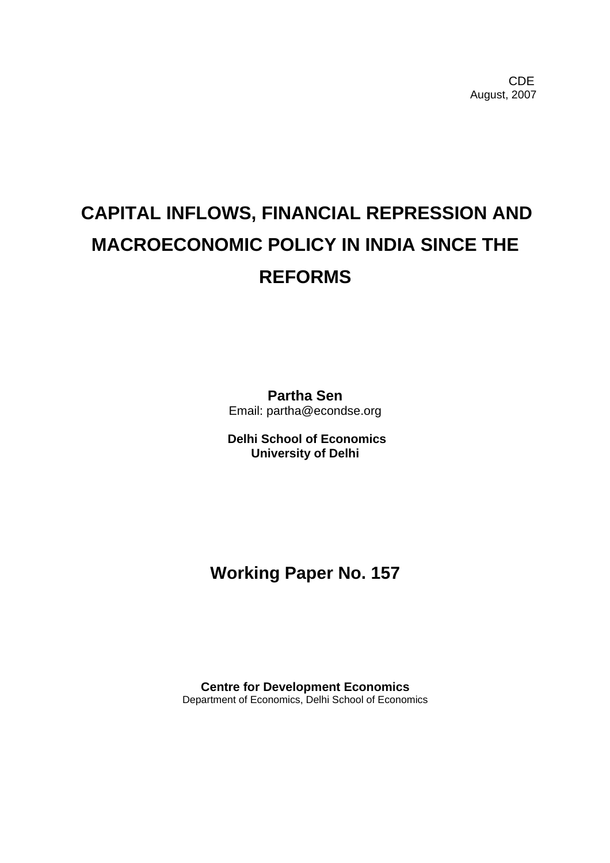**CDE COLLECTION** August, 2007

# **CAPITAL INFLOWS, FINANCIAL REPRESSION AND MACROECONOMIC POLICY IN INDIA SINCE THE REFORMS**

**Partha Sen**  Email: partha@econdse.org

**Delhi School of Economics University of Delhi**

# **Working Paper No. 157**

**Centre for Development Economics**  Department of Economics, Delhi School of Economics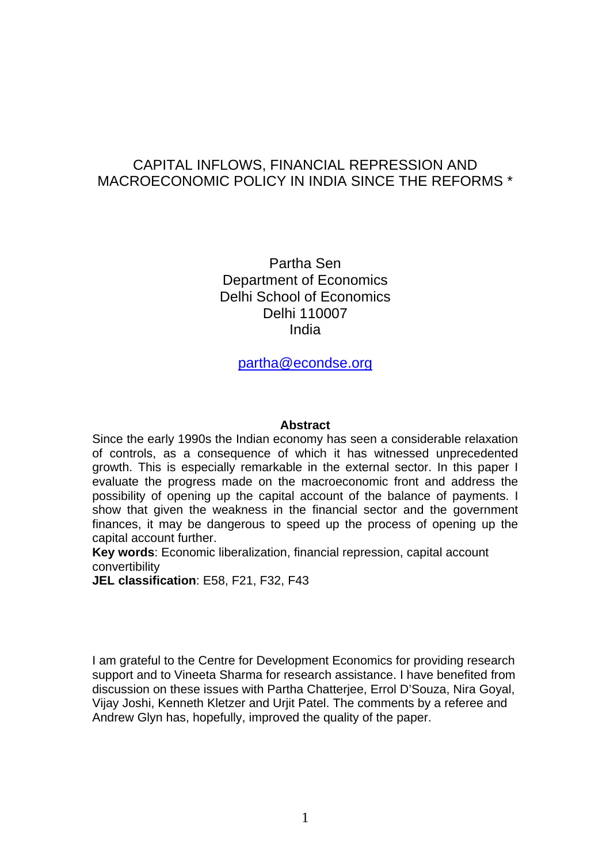# CAPITAL INFLOWS, FINANCIAL REPRESSION AND MACROECONOMIC POLICY IN INDIA SINCE THE REFORMS \*

Partha Sen Department of Economics Delhi School of Economics Delhi 110007 India

[partha@econdse.org](mailto:partha@econdse.org)

#### **Abstract**

Since the early 1990s the Indian economy has seen a considerable relaxation of controls, as a consequence of which it has witnessed unprecedented growth. This is especially remarkable in the external sector. In this paper I evaluate the progress made on the macroeconomic front and address the possibility of opening up the capital account of the balance of payments. I show that given the weakness in the financial sector and the government finances, it may be dangerous to speed up the process of opening up the capital account further.

**Key words**: Economic liberalization, financial repression, capital account convertibility

**JEL classification**: E58, F21, F32, F43

I am grateful to the Centre for Development Economics for providing research support and to Vineeta Sharma for research assistance. I have benefited from discussion on these issues with Partha Chatterjee, Errol D'Souza, Nira Goyal, Vijay Joshi, Kenneth Kletzer and Urjit Patel. The comments by a referee and Andrew Glyn has, hopefully, improved the quality of the paper.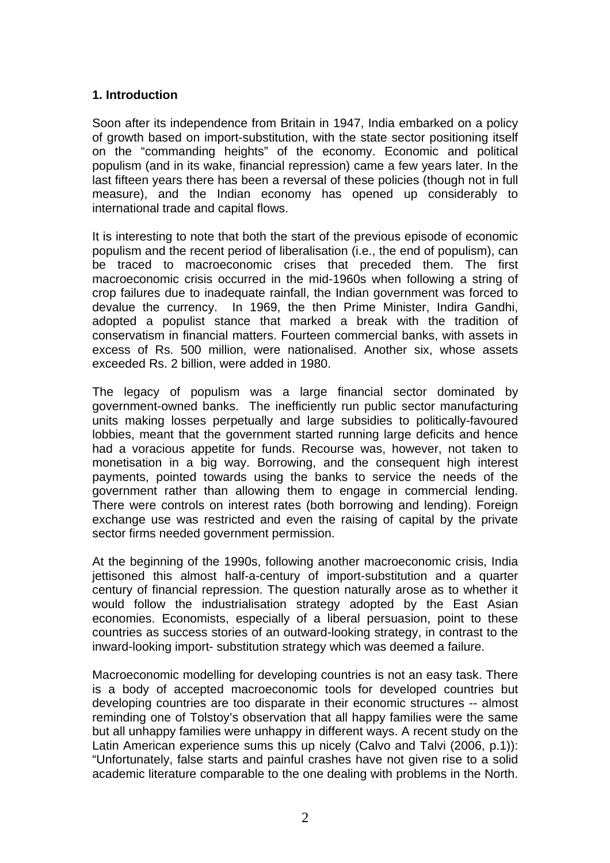#### **1. Introduction**

Soon after its independence from Britain in 1947, India embarked on a policy of growth based on import-substitution, with the state sector positioning itself on the "commanding heights" of the economy. Economic and political populism (and in its wake, financial repression) came a few years later. In the last fifteen years there has been a reversal of these policies (though not in full measure), and the Indian economy has opened up considerably to international trade and capital flows.

It is interesting to note that both the start of the previous episode of economic populism and the recent period of liberalisation (i.e., the end of populism), can be traced to macroeconomic crises that preceded them. The first macroeconomic crisis occurred in the mid-1960s when following a string of crop failures due to inadequate rainfall, the Indian government was forced to devalue the currency. In 1969, the then Prime Minister, Indira Gandhi, adopted a populist stance that marked a break with the tradition of conservatism in financial matters. Fourteen commercial banks, with assets in excess of Rs. 500 million, were nationalised. Another six, whose assets exceeded Rs. 2 billion, were added in 1980.

The legacy of populism was a large financial sector dominated by government-owned banks. The inefficiently run public sector manufacturing units making losses perpetually and large subsidies to politically-favoured lobbies, meant that the government started running large deficits and hence had a voracious appetite for funds. Recourse was, however, not taken to monetisation in a big way. Borrowing, and the consequent high interest payments, pointed towards using the banks to service the needs of the government rather than allowing them to engage in commercial lending. There were controls on interest rates (both borrowing and lending). Foreign exchange use was restricted and even the raising of capital by the private sector firms needed government permission.

At the beginning of the 1990s, following another macroeconomic crisis, India jettisoned this almost half-a-century of import-substitution and a quarter century of financial repression. The question naturally arose as to whether it would follow the industrialisation strategy adopted by the East Asian economies. Economists, especially of a liberal persuasion, point to these countries as success stories of an outward-looking strategy, in contrast to the inward-looking import- substitution strategy which was deemed a failure.

Macroeconomic modelling for developing countries is not an easy task. There is a body of accepted macroeconomic tools for developed countries but developing countries are too disparate in their economic structures -- almost reminding one of Tolstoy's observation that all happy families were the same but all unhappy families were unhappy in different ways. A recent study on the Latin American experience sums this up nicely (Calvo and Talvi (2006, p.1)): "Unfortunately, false starts and painful crashes have not given rise to a solid academic literature comparable to the one dealing with problems in the North.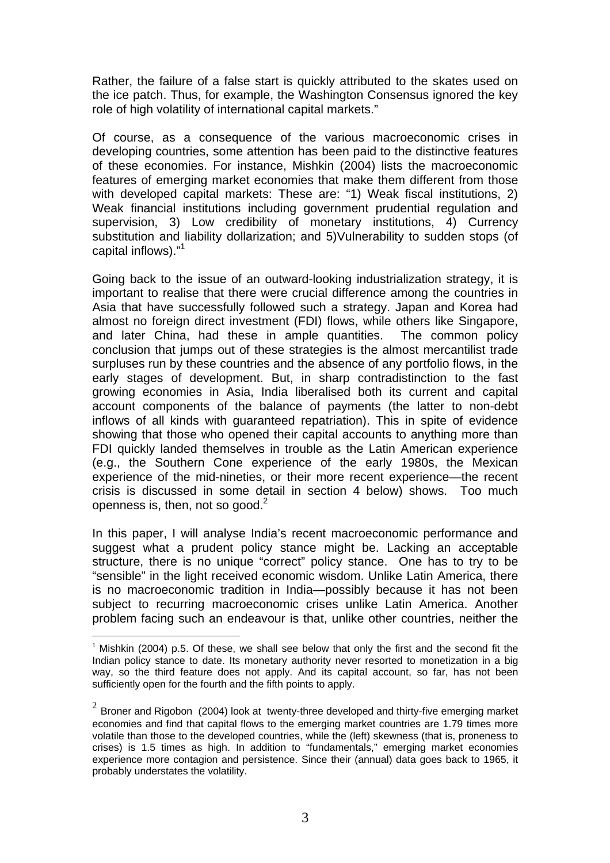Rather, the failure of a false start is quickly attributed to the skates used on the ice patch. Thus, for example, the Washington Consensus ignored the key role of high volatility of international capital markets."

Of course, as a consequence of the various macroeconomic crises in developing countries, some attention has been paid to the distinctive features of these economies. For instance, Mishkin (2004) lists the macroeconomic features of emerging market economies that make them different from those with developed capital markets: These are: "1) Weak fiscal institutions, 2) Weak financial institutions including government prudential regulation and supervision, 3) Low credibility of monetary institutions, 4) Currency substitution and liability dollarization; and 5)Vulnerability to sudden stops (of capital inflows)."<sup>1</sup>

Going back to the issue of an outward-looking industrialization strategy, it is important to realise that there were crucial difference among the countries in Asia that have successfully followed such a strategy. Japan and Korea had almost no foreign direct investment (FDI) flows, while others like Singapore, and later China, had these in ample quantities. The common policy conclusion that jumps out of these strategies is the almost mercantilist trade surpluses run by these countries and the absence of any portfolio flows, in the early stages of development. But, in sharp contradistinction to the fast growing economies in Asia, India liberalised both its current and capital account components of the balance of payments (the latter to non-debt inflows of all kinds with guaranteed repatriation). This in spite of evidence showing that those who opened their capital accounts to anything more than FDI quickly landed themselves in trouble as the Latin American experience (e.g., the Southern Cone experience of the early 1980s, the Mexican experience of the mid-nineties, or their more recent experience—the recent crisis is discussed in some detail in section 4 below) shows. Too much openness is, then, not so good. $2^2$  $2^2$ 

In this paper, I will analyse India's recent macroeconomic performance and suggest what a prudent policy stance might be. Lacking an acceptable structure, there is no unique "correct" policy stance. One has to try to be "sensible" in the light received economic wisdom. Unlike Latin America, there is no macroeconomic tradition in India—possibly because it has not been subject to recurring macroeconomic crises unlike Latin America. Another problem facing such an endeavour is that, unlike other countries, neither the

<span id="page-3-0"></span> $1$  Mishkin (2004) p.5. Of these, we shall see below that only the first and the second fit the Indian policy stance to date. Its monetary authority never resorted to monetization in a big way, so the third feature does not apply. And its capital account, so far, has not been sufficiently open for the fourth and the fifth points to apply.

<span id="page-3-1"></span> $2^{2}$  Broner and Rigobon (2004) look at twenty-three developed and thirty-five emerging market economies and find that capital flows to the emerging market countries are 1.79 times more volatile than those to the developed countries, while the (left) skewness (that is, proneness to crises) is 1.5 times as high. In addition to "fundamentals," emerging market economies experience more contagion and persistence. Since their (annual) data goes back to 1965, it probably understates the volatility.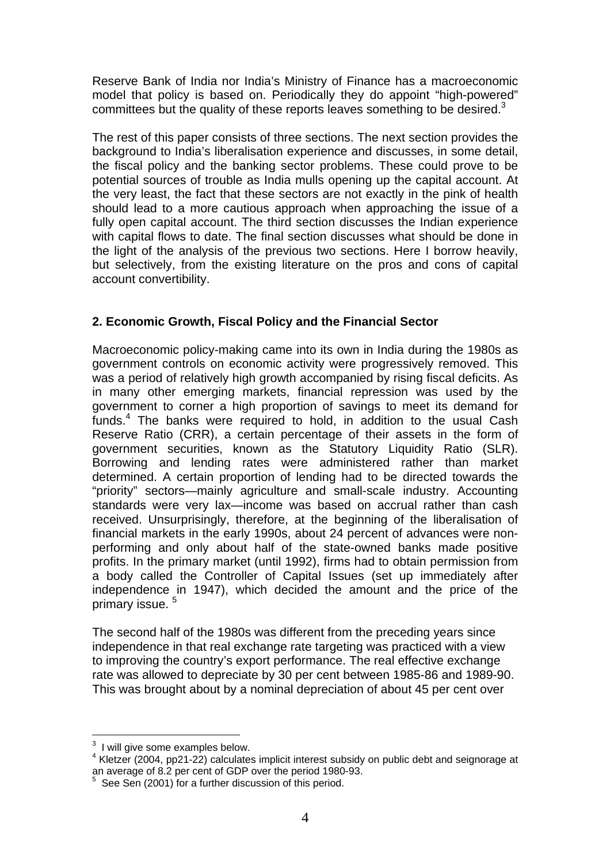Reserve Bank of India nor India's Ministry of Finance has a macroeconomic model that policy is based on. Periodically they do appoint "high-powered" committees but the quality of these reports leaves something to be desired. $3$ 

The rest of this paper consists of three sections. The next section provides the background to India's liberalisation experience and discusses, in some detail, the fiscal policy and the banking sector problems. These could prove to be potential sources of trouble as India mulls opening up the capital account. At the very least, the fact that these sectors are not exactly in the pink of health should lead to a more cautious approach when approaching the issue of a fully open capital account. The third section discusses the Indian experience with capital flows to date. The final section discusses what should be done in the light of the analysis of the previous two sections. Here I borrow heavily, but selectively, from the existing literature on the pros and cons of capital account convertibility.

#### **2. Economic Growth, Fiscal Policy and the Financial Sector**

Macroeconomic policy-making came into its own in India during the 1980s as government controls on economic activity were progressively removed. This was a period of relatively high growth accompanied by rising fiscal deficits. As in many other emerging markets, financial repression was used by the government to corner a high proportion of savings to meet its demand for funds.<sup>4</sup>The banks were required to hold, in addition to the usual Cash Reserve Ratio (CRR), a certain percentage of their assets in the form of government securities, known as the Statutory Liquidity Ratio (SLR). Borrowing and lending rates were administered rather than market determined. A certain proportion of lending had to be directed towards the "priority" sectors—mainly agriculture and small-scale industry. Accounting standards were very lax—income was based on accrual rather than cash received. Unsurprisingly, therefore, at the beginning of the liberalisation of financial markets in the early 1990s, about 24 percent of advances were nonperforming and only about half of the state-owned banks made positive profits. In the primary market (until 1992), firms had to obtain permission from a body called the Controller of Capital Issues (set up immediately after independence in 1947), which decided the amount and the price of the primary issue. [5](#page-4-2)

The second half of the 1980s was different from the preceding years since independence in that real exchange rate targeting was practiced with a view to improving the country's export performance. The real effective exchange rate was allowed to depreciate by 30 per cent between 1985-86 and 1989-90. This was brought about by a nominal depreciation of about 45 per cent over

<sup>-&</sup>lt;br>3  $3$  I will give some examples below.

<span id="page-4-1"></span><span id="page-4-0"></span> $4$  Kletzer (2004, pp21-22) calculates implicit interest subsidy on public debt and seignorage at an average of 8.2 per cent of GDP over the period 1980-93.<br><sup>5</sup>. See San (2001) for a further disquasion of this period.

<span id="page-4-2"></span>See Sen (2001) for a further discussion of this period.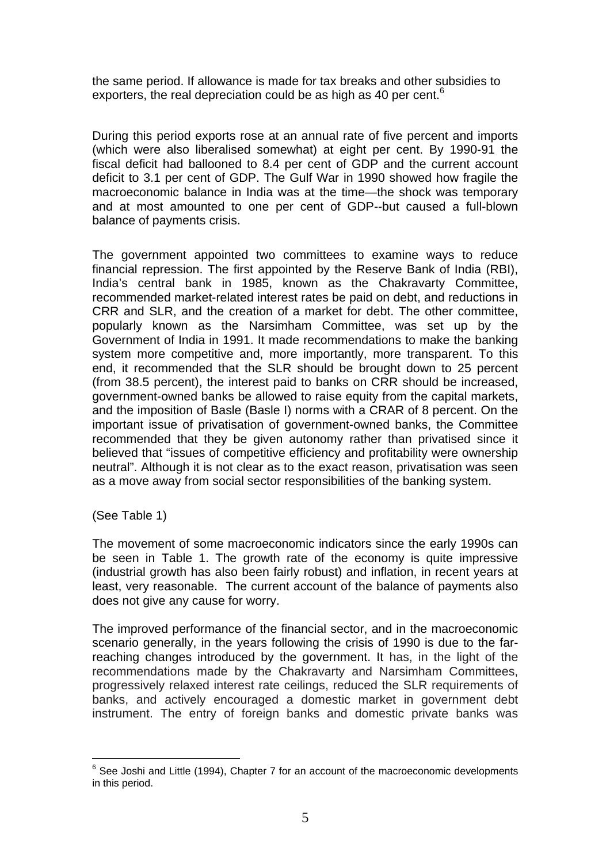the same period. If allowance is made for tax breaks and other subsidies to exporters, the real depreciation could be as high as 40 per cent.<sup>[6](#page-5-0)</sup>

During this period exports rose at an annual rate of five percent and imports (which were also liberalised somewhat) at eight per cent. By 1990-91 the fiscal deficit had ballooned to 8.4 per cent of GDP and the current account deficit to 3.1 per cent of GDP. The Gulf War in 1990 showed how fragile the macroeconomic balance in India was at the time—the shock was temporary and at most amounted to one per cent of GDP--but caused a full-blown balance of payments crisis.

The government appointed two committees to examine ways to reduce financial repression. The first appointed by the Reserve Bank of India (RBI), India's central bank in 1985, known as the Chakravarty Committee, recommended market-related interest rates be paid on debt, and reductions in CRR and SLR, and the creation of a market for debt. The other committee, popularly known as the Narsimham Committee, was set up by the Government of India in 1991. It made recommendations to make the banking system more competitive and, more importantly, more transparent. To this end, it recommended that the SLR should be brought down to 25 percent (from 38.5 percent), the interest paid to banks on CRR should be increased, government-owned banks be allowed to raise equity from the capital markets, and the imposition of Basle (Basle I) norms with a CRAR of 8 percent. On the important issue of privatisation of government-owned banks, the Committee recommended that they be given autonomy rather than privatised since it believed that "issues of competitive efficiency and profitability were ownership neutral". Although it is not clear as to the exact reason, privatisation was seen as a move away from social sector responsibilities of the banking system.

(See Table 1)

The movement of some macroeconomic indicators since the early 1990s can be seen in Table 1. The growth rate of the economy is quite impressive (industrial growth has also been fairly robust) and inflation, in recent years at least, very reasonable. The current account of the balance of payments also does not give any cause for worry.

The improved performance of the financial sector, and in the macroeconomic scenario generally, in the years following the crisis of 1990 is due to the farreaching changes introduced by the government. It has, in the light of the recommendations made by the Chakravarty and Narsimham Committees, progressively relaxed interest rate ceilings, reduced the SLR requirements of banks, and actively encouraged a domestic market in government debt instrument. The entry of foreign banks and domestic private banks was

<span id="page-5-0"></span><sup>-&</sup>lt;br>6  $6$  See Joshi and Little (1994), Chapter 7 for an account of the macroeconomic developments in this period.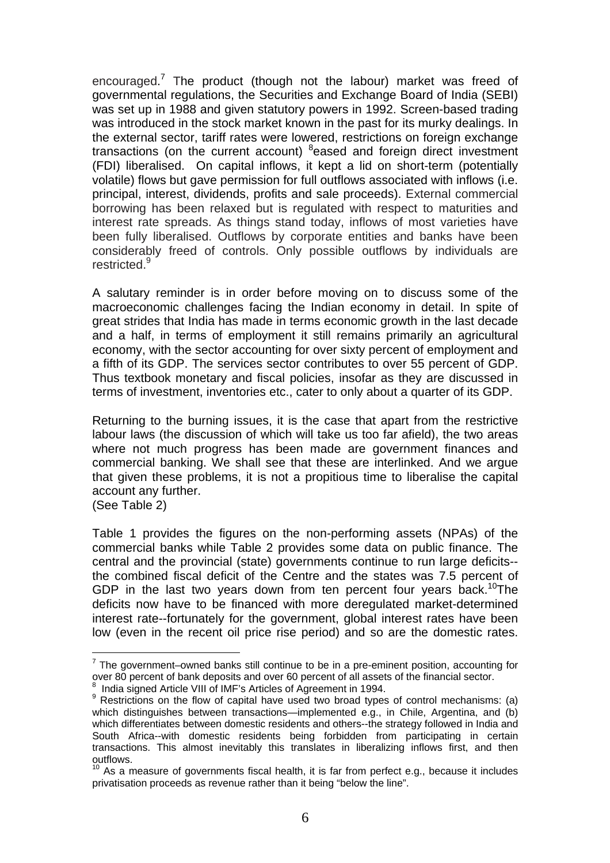encouraged.<sup>[7](#page-6-0)</sup> The product (though not the labour) market was freed of governmental regulations, the Securities and Exchange Board of India (SEBI) was set up in 1988 and given statutory powers in 1992. Screen-based trading was introduced in the stock market known in the past for its murky dealings. In the external sector, tariff rates were lowered, restrictions on foreign exchange transactions (on the current account) <sup>[8](#page-6-1)</sup>eased and foreign direct investment (FDI) liberalised. On capital inflows, it kept a lid on short-term (potentially volatile) flows but gave permission for full outflows associated with inflows (i.e. principal, interest, dividends, profits and sale proceeds). External commercial borrowing has been relaxed but is regulated with respect to maturities and interest rate spreads. As things stand today, inflows of most varieties have been fully liberalised. Outflows by corporate entities and banks have been considerably freed of controls. Only possible outflows by individuals are restricted.<sup>[9](#page-6-2)</sup>

A salutary reminder is in order before moving on to discuss some of the macroeconomic challenges facing the Indian economy in detail. In spite of great strides that India has made in terms economic growth in the last decade and a half, in terms of employment it still remains primarily an agricultural economy, with the sector accounting for over sixty percent of employment and a fifth of its GDP. The services sector contributes to over 55 percent of GDP. Thus textbook monetary and fiscal policies, insofar as they are discussed in terms of investment, inventories etc., cater to only about a quarter of its GDP.

Returning to the burning issues, it is the case that apart from the restrictive labour laws (the discussion of which will take us too far afield), the two areas where not much progress has been made are government finances and commercial banking. We shall see that these are interlinked. And we argue that given these problems, it is not a propitious time to liberalise the capital account any further.

(See Table 2)

Table 1 provides the figures on the non-performing assets (NPAs) of the commercial banks while Table 2 provides some data on public finance. The central and the provincial (state) governments continue to run large deficits- the combined fiscal deficit of the Centre and the states was 7.5 percent of GDP in the last two vears down from ten percent four vears back.<sup>10</sup>The deficits now have to be financed with more deregulated market-determined interest rate--fortunately for the government, global interest rates have been low (even in the recent oil price rise period) and so are the domestic rates.

<span id="page-6-0"></span> $<sup>7</sup>$  The government–owned banks still continue to be in a pre-eminent position, accounting for</sup> over 80 percent of bank deposits and over 60 percent of all assets of the financial sector.<br><sup>8</sup> Judie aigned Article VIII of IME's Articles of Assessment in 1994.

<span id="page-6-1"></span>India signed Article VIII of IMF's Articles of Agreement in 1994.

<span id="page-6-2"></span> $9$  Restrictions on the flow of capital have used two broad types of control mechanisms: (a) which distinguishes between transactions—implemented e.g., in Chile, Argentina, and (b) which differentiates between domestic residents and others--the strategy followed in India and South Africa--with domestic residents being forbidden from participating in certain transactions. This almost inevitably this translates in liberalizing inflows first, and then outflows.

<span id="page-6-3"></span> $10<sup>10</sup>$  As a measure of governments fiscal health, it is far from perfect e.g., because it includes privatisation proceeds as revenue rather than it being "below the line".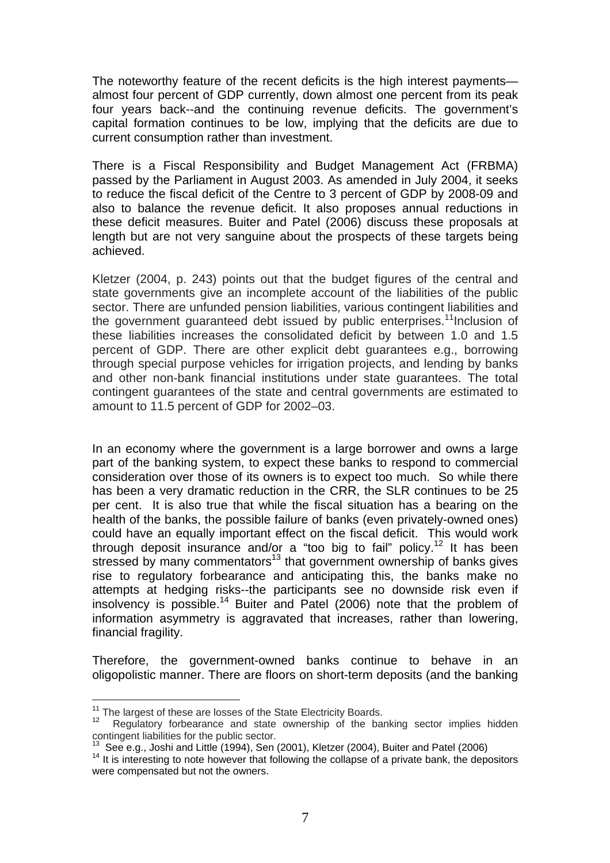The noteworthy feature of the recent deficits is the high interest payments almost four percent of GDP currently, down almost one percent from its peak four years back--and the continuing revenue deficits. The government's capital formation continues to be low, implying that the deficits are due to current consumption rather than investment.

There is a Fiscal Responsibility and Budget Management Act (FRBMA) passed by the Parliament in August 2003. As amended in July 2004, it seeks to reduce the fiscal deficit of the Centre to 3 percent of GDP by 2008-09 and also to balance the revenue deficit. It also proposes annual reductions in these deficit measures. Buiter and Patel (2006) discuss these proposals at length but are not very sanguine about the prospects of these targets being achieved.

Kletzer (2004, p. 243) points out that the budget figures of the central and state governments give an incomplete account of the liabilities of the public sector. There are unfunded pension liabilities, various contingent liabilities and the government guaranteed debt issued by public enterprises.<sup>11</sup>Inclusion of these liabilities increases the consolidated deficit by between 1.0 and 1.5 percent of GDP. There are other explicit debt guarantees e.g., borrowing through special purpose vehicles for irrigation projects, and lending by banks and other non-bank financial institutions under state guarantees. The total contingent guarantees of the state and central governments are estimated to amount to 11.5 percent of GDP for 2002–03.

In an economy where the government is a large borrower and owns a large part of the banking system, to expect these banks to respond to commercial consideration over those of its owners is to expect too much. So while there has been a very dramatic reduction in the CRR, the SLR continues to be 25 per cent. It is also true that while the fiscal situation has a bearing on the health of the banks, the possible failure of banks (even privately-owned ones) could have an equally important effect on the fiscal deficit. This would work through deposit insurance and/or a "too big to fail" policy.<sup>12</sup> It has been stressed by many commentators<sup>13</sup> that government ownership of banks gives rise to regulatory forbearance and anticipating this, the banks make no attempts at hedging risks--the participants see no downside risk even if insolvency is possible.<sup>14</sup> Buiter and Patel (2006) note that the problem of information asymmetry is aggravated that increases, rather than lowering, financial fragility.

Therefore, the government-owned banks continue to behave in an oligopolistic manner. There are floors on short-term deposits (and the banking

<span id="page-7-1"></span><span id="page-7-0"></span>

<sup>&</sup>lt;sup>11</sup> The largest of these are losses of the State Electricity Boards.<br><sup>12</sup> Regulatory forbearance and state ownership of the banking sector implies hidden contingent liabilities for the public sector.<br><sup>13</sup> See e.g., Joshi and Little (1994), Sen (2001), Kletzer (2004), Buiter and Patel (2006)

<span id="page-7-2"></span>

<span id="page-7-3"></span> $14$  It is interesting to note however that following the collapse of a private bank, the depositors were compensated but not the owners.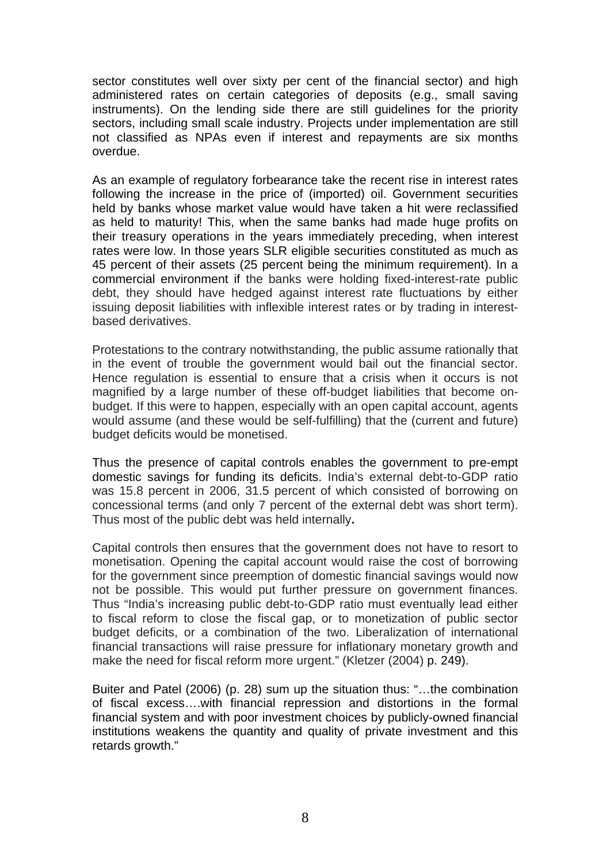sector constitutes well over sixty per cent of the financial sector) and high administered rates on certain categories of deposits (e.g., small saving instruments). On the lending side there are still guidelines for the priority sectors, including small scale industry. Projects under implementation are still not classified as NPAs even if interest and repayments are six months overdue.

As an example of regulatory forbearance take the recent rise in interest rates following the increase in the price of (imported) oil. Government securities held by banks whose market value would have taken a hit were reclassified as held to maturity! This, when the same banks had made huge profits on their treasury operations in the years immediately preceding, when interest rates were low. In those years SLR eligible securities constituted as much as 45 percent of their assets (25 percent being the minimum requirement). In a commercial environment if the banks were holding fixed-interest-rate public debt, they should have hedged against interest rate fluctuations by either issuing deposit liabilities with inflexible interest rates or by trading in interestbased derivatives.

Protestations to the contrary notwithstanding, the public assume rationally that in the event of trouble the government would bail out the financial sector. Hence regulation is essential to ensure that a crisis when it occurs is not magnified by a large number of these off-budget liabilities that become onbudget. If this were to happen, especially with an open capital account, agents would assume (and these would be self-fulfilling) that the (current and future) budget deficits would be monetised.

Thus the presence of capital controls enables the government to pre-empt domestic savings for funding its deficits. India's external debt-to-GDP ratio was 15.8 percent in 2006, 31.5 percent of which consisted of borrowing on concessional terms (and only 7 percent of the external debt was short term). Thus most of the public debt was held internally**.** 

Capital controls then ensures that the government does not have to resort to monetisation. Opening the capital account would raise the cost of borrowing for the government since preemption of domestic financial savings would now not be possible. This would put further pressure on government finances. Thus "India's increasing public debt-to-GDP ratio must eventually lead either to fiscal reform to close the fiscal gap, or to monetization of public sector budget deficits, or a combination of the two. Liberalization of international financial transactions will raise pressure for inflationary monetary growth and make the need for fiscal reform more urgent." (Kletzer (2004) p. 249).

Buiter and Patel (2006) (p. 28) sum up the situation thus: "…the combination of fiscal excess….with financial repression and distortions in the formal financial system and with poor investment choices by publicly-owned financial institutions weakens the quantity and quality of private investment and this retards growth."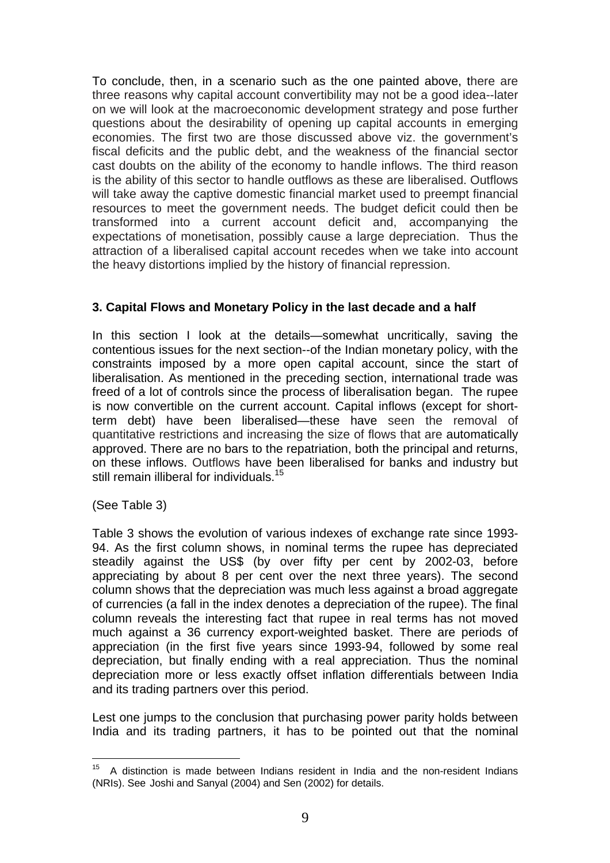To conclude, then, in a scenario such as the one painted above, there are three reasons why capital account convertibility may not be a good idea--later on we will look at the macroeconomic development strategy and pose further questions about the desirability of opening up capital accounts in emerging economies. The first two are those discussed above viz. the government's fiscal deficits and the public debt, and the weakness of the financial sector cast doubts on the ability of the economy to handle inflows. The third reason is the ability of this sector to handle outflows as these are liberalised. Outflows will take away the captive domestic financial market used to preempt financial resources to meet the government needs. The budget deficit could then be transformed into a current account deficit and, accompanying the expectations of monetisation, possibly cause a large depreciation. Thus the attraction of a liberalised capital account recedes when we take into account the heavy distortions implied by the history of financial repression.

#### **3. Capital Flows and Monetary Policy in the last decade and a half**

In this section I look at the details—somewhat uncritically, saving the contentious issues for the next section--of the Indian monetary policy, with the constraints imposed by a more open capital account, since the start of liberalisation. As mentioned in the preceding section, international trade was freed of a lot of controls since the process of liberalisation began. The rupee is now convertible on the current account. Capital inflows (except for shortterm debt) have been liberalised—these have seen the removal of quantitative restrictions and increasing the size of flows that are automatically approved. There are no bars to the repatriation, both the principal and returns, on these inflows. Outflows have been liberalised for banks and industry but still remain illiberal for individuals.<sup>[15](#page-9-0)</sup>

(See Table 3)

Table 3 shows the evolution of various indexes of exchange rate since 1993- 94. As the first column shows, in nominal terms the rupee has depreciated steadily against the US\$ (by over fifty per cent by 2002-03, before appreciating by about 8 per cent over the next three years). The second column shows that the depreciation was much less against a broad aggregate of currencies (a fall in the index denotes a depreciation of the rupee). The final column reveals the interesting fact that rupee in real terms has not moved much against a 36 currency export-weighted basket. There are periods of appreciation (in the first five years since 1993-94, followed by some real depreciation, but finally ending with a real appreciation. Thus the nominal depreciation more or less exactly offset inflation differentials between India and its trading partners over this period.

Lest one jumps to the conclusion that purchasing power parity holds between India and its trading partners, it has to be pointed out that the nominal

<span id="page-9-0"></span><sup>&</sup>lt;sup>15</sup> A distinction is made between Indians resident in India and the non-resident Indians (NRIs). See Joshi and Sanyal (2004) and Sen (2002) for details.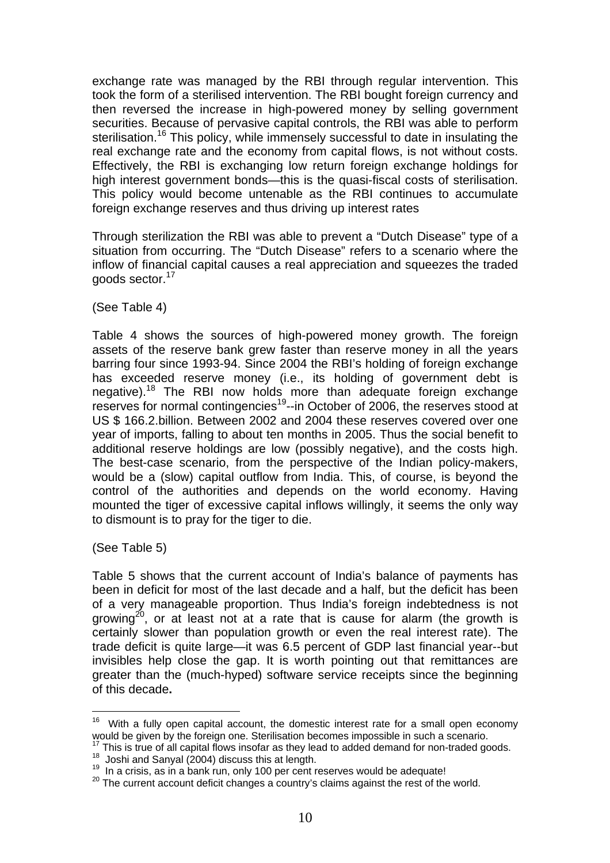exchange rate was managed by the RBI through regular intervention. This took the form of a sterilised intervention. The RBI bought foreign currency and then reversed the increase in high-powered money by selling government securities. Because of pervasive capital controls, the RBI was able to perform sterilisation.<sup>16</sup> This policy, while immensely successful to date in insulating the real exchange rate and the economy from capital flows, is not without costs. Effectively, the RBI is exchanging low return foreign exchange holdings for high interest government bonds—this is the quasi-fiscal costs of sterilisation. This policy would become untenable as the RBI continues to accumulate foreign exchange reserves and thus driving up interest rates

Through sterilization the RBI was able to prevent a "Dutch Disease" type of a situation from occurring. The "Dutch Disease" refers to a scenario where the inflow of financial capital causes a real appreciation and squeezes the traded goods sector.<sup>17</sup>

(See Table 4)

Table 4 shows the sources of high-powered money growth. The foreign assets of the reserve bank grew faster than reserve money in all the years barring four since 1993-94. Since 2004 the RBI's holding of foreign exchange has exceeded reserve money (i.e., its holding of government debt is negative).[18](#page-10-2) The RBI now holds more than adequate foreign exchange reserves for normal contingencies<sup>19</sup>--in October of 2006, the reserves stood at US \$ 166.2.billion. Between 2002 and 2004 these reserves covered over one year of imports, falling to about ten months in 2005. Thus the social benefit to additional reserve holdings are low (possibly negative), and the costs high. The best-case scenario, from the perspective of the Indian policy-makers, would be a (slow) capital outflow from India. This, of course, is beyond the control of the authorities and depends on the world economy. Having mounted the tiger of excessive capital inflows willingly, it seems the only way to dismount is to pray for the tiger to die.

(See Table 5)

Table 5 shows that the current account of India's balance of payments has been in deficit for most of the last decade and a half, but the deficit has been of a very manageable proportion. Thus India's foreign indebtedness is not growing<sup>20</sup>, or at least not at a rate that is cause for alarm (the growth is certainly slower than population growth or even the real interest rate). The trade deficit is quite large—it was 6.5 percent of GDP last financial year--but invisibles help close the gap. It is worth pointing out that remittances are greater than the (much-hyped) software service receipts since the beginning of this decade**.** 

<span id="page-10-0"></span> $16$  With a fully open capital account, the domestic interest rate for a small open economy would be given by the foreign one. Sterilisation becomes impossible in such a scenario.

<span id="page-10-1"></span> $^{17}$  This is true of all capital flows insofar as they lead to added demand for non-traded goods.<br> $^{18}$  Joshi and Sanyal (2004) discuss this at length.

<span id="page-10-3"></span><span id="page-10-2"></span><sup>18</sup> Joshi and Sanyal (2004) discuss this at length. 19 In a crisis, as in a bank run, only 100 per cent reserves would be adequate!

<span id="page-10-4"></span><sup>&</sup>lt;sup>20</sup> The current account deficit changes a country's claims against the rest of the world.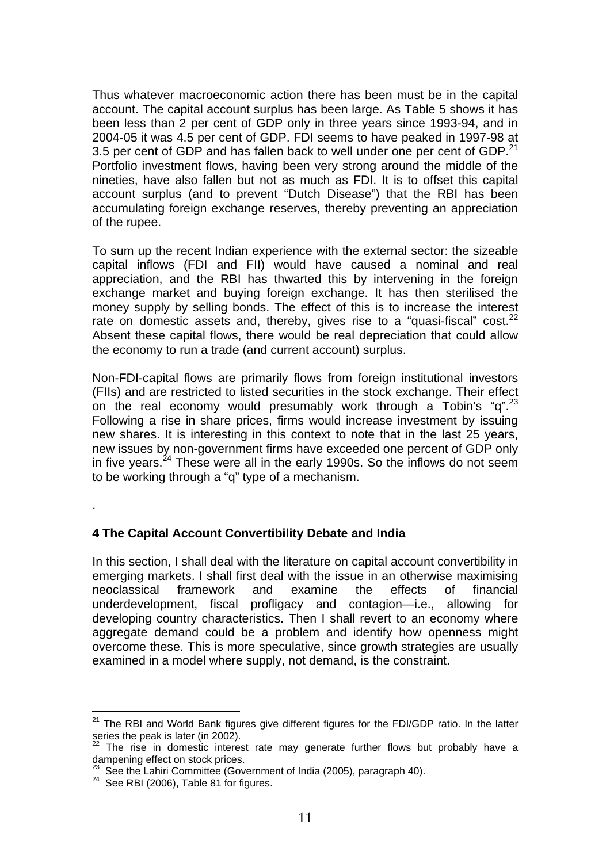Thus whatever macroeconomic action there has been must be in the capital account. The capital account surplus has been large. As Table 5 shows it has been less than 2 per cent of GDP only in three years since 1993-94, and in 2004-05 it was 4.5 per cent of GDP. FDI seems to have peaked in 1997-98 at 3.5 per cent of GDP and has fallen back to well under one per cent of GDP. $^{21}$  $^{21}$  $^{21}$ Portfolio investment flows, having been very strong around the middle of the nineties, have also fallen but not as much as FDI. It is to offset this capital account surplus (and to prevent "Dutch Disease") that the RBI has been accumulating foreign exchange reserves, thereby preventing an appreciation of the rupee.

To sum up the recent Indian experience with the external sector: the sizeable capital inflows (FDI and FII) would have caused a nominal and real appreciation, and the RBI has thwarted this by intervening in the foreign exchange market and buying foreign exchange. It has then sterilised the money supply by selling bonds. The effect of this is to increase the interest rate on domestic assets and, thereby, gives rise to a "quasi-fiscal" cost. $^{22}$ Absent these capital flows, there would be real depreciation that could allow the economy to run a trade (and current account) surplus.

Non-FDI-capital flows are primarily flows from foreign institutional investors (FIIs) and are restricted to listed securities in the stock exchange. Their effect on the real economy would presumably work through a Tobin's "q".<sup>[23](#page-11-2)</sup> Following a rise in share prices, firms would increase investment by issuing new shares. It is interesting in this context to note that in the last 25 years, new issues by non-government firms have exceeded one percent of GDP only in five years.<sup>24</sup> These were all in the early 1990s. So the inflows do not seem to be working through a "q" type of a mechanism.

.

# **4 The Capital Account Convertibility Debate and India**

In this section, I shall deal with the literature on capital account convertibility in emerging markets. I shall first deal with the issue in an otherwise maximising neoclassical framework and examine the effects of financial underdevelopment, fiscal profligacy and contagion—i.e., allowing for developing country characteristics. Then I shall revert to an economy where aggregate demand could be a problem and identify how openness might overcome these. This is more speculative, since growth strategies are usually examined in a model where supply, not demand, is the constraint.

<span id="page-11-0"></span><sup>&</sup>lt;sup>21</sup> The RBI and World Bank figures give different figures for the FDI/GDP ratio. In the latter series the peak is later (in 2002).

<span id="page-11-1"></span> $\frac{22}{2}$  The rise in domestic interest rate may generate further flows but probably have a dampening effect on stock prices.

<span id="page-11-2"></span><sup>&</sup>lt;sup>23</sup> See the Lahiri Committee (Government of India (2005), paragraph 40).<br><sup>24</sup> See RBI (2006), Table 81 for figures.

<span id="page-11-3"></span>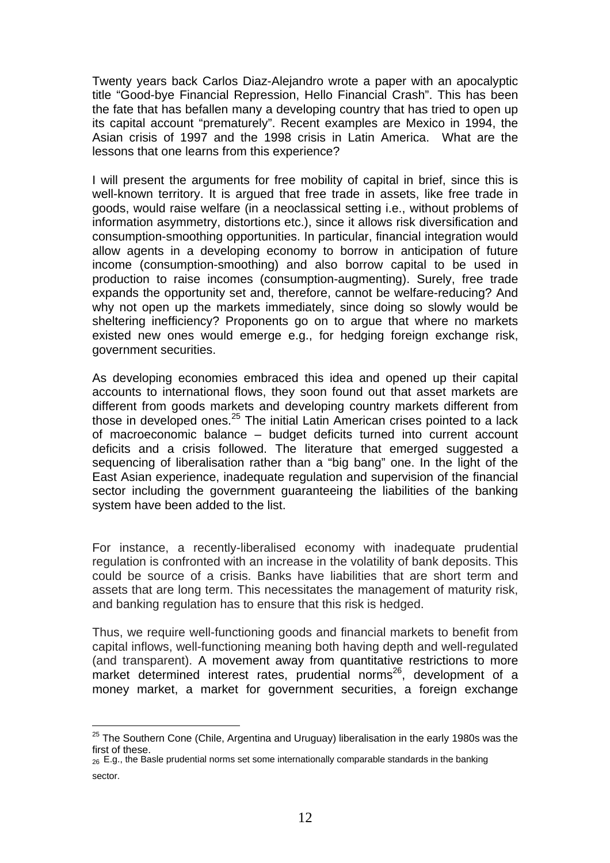Twenty years back Carlos Diaz-Alejandro wrote a paper with an apocalyptic title "Good-bye Financial Repression, Hello Financial Crash". This has been the fate that has befallen many a developing country that has tried to open up its capital account "prematurely". Recent examples are Mexico in 1994, the Asian crisis of 1997 and the 1998 crisis in Latin America. What are the lessons that one learns from this experience?

I will present the arguments for free mobility of capital in brief, since this is well-known territory. It is argued that free trade in assets, like free trade in goods, would raise welfare (in a neoclassical setting i.e., without problems of information asymmetry, distortions etc.), since it allows risk diversification and consumption-smoothing opportunities. In particular, financial integration would allow agents in a developing economy to borrow in anticipation of future income (consumption-smoothing) and also borrow capital to be used in production to raise incomes (consumption-augmenting). Surely, free trade expands the opportunity set and, therefore, cannot be welfare-reducing? And why not open up the markets immediately, since doing so slowly would be sheltering inefficiency? Proponents go on to argue that where no markets existed new ones would emerge e.g., for hedging foreign exchange risk, government securities.

As developing economies embraced this idea and opened up their capital accounts to international flows, they soon found out that asset markets are different from goods markets and developing country markets different from those in developed ones.<sup>25</sup> The initial Latin American crises pointed to a lack of macroeconomic balance – budget deficits turned into current account deficits and a crisis followed. The literature that emerged suggested a sequencing of liberalisation rather than a "big bang" one. In the light of the East Asian experience, inadequate regulation and supervision of the financial sector including the government guaranteeing the liabilities of the banking system have been added to the list.

For instance, a recently-liberalised economy with inadequate prudential regulation is confronted with an increase in the volatility of bank deposits. This could be source of a crisis. Banks have liabilities that are short term and assets that are long term. This necessitates the management of maturity risk, and banking regulation has to ensure that this risk is hedged.

Thus, we require well-functioning goods and financial markets to benefit from capital inflows, well-functioning meaning both having depth and well-regulated (and transparent). A movement away from quantitative restrictions to more market determined interest rates, prudential norms<sup>26</sup>, development of a money market, a market for government securities, a foreign exchange

<span id="page-12-0"></span> $25$  The Southern Cone (Chile, Argentina and Uruguay) liberalisation in the early 1980s was the first of these.

<span id="page-12-1"></span><sup>26</sup> E.g., the Basle prudential norms set some internationally comparable standards in the banking sector.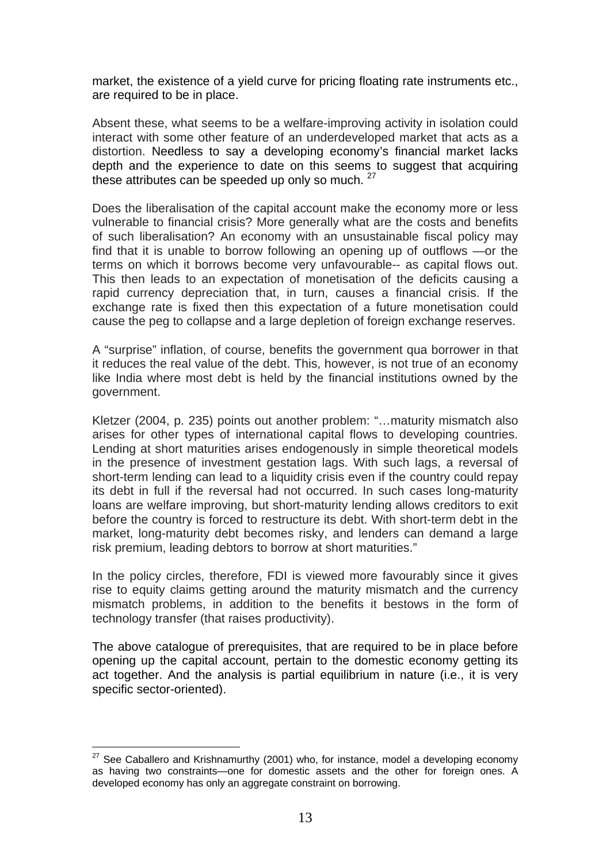market, the existence of a yield curve for pricing floating rate instruments etc., are required to be in place.

Absent these, what seems to be a welfare-improving activity in isolation could interact with some other feature of an underdeveloped market that acts as a distortion. Needless to say a developing economy's financial market lacks depth and the experience to date on this seems to suggest that acquiring these attributes can be speeded up only so much. <sup>27</sup>

Does the liberalisation of the capital account make the economy more or less vulnerable to financial crisis? More generally what are the costs and benefits of such liberalisation? An economy with an unsustainable fiscal policy may find that it is unable to borrow following an opening up of outflows —or the terms on which it borrows become very unfavourable-- as capital flows out. This then leads to an expectation of monetisation of the deficits causing a rapid currency depreciation that, in turn, causes a financial crisis. If the exchange rate is fixed then this expectation of a future monetisation could cause the peg to collapse and a large depletion of foreign exchange reserves.

A "surprise" inflation, of course, benefits the government qua borrower in that it reduces the real value of the debt. This, however, is not true of an economy like India where most debt is held by the financial institutions owned by the government.

Kletzer (2004, p. 235) points out another problem: "…maturity mismatch also arises for other types of international capital flows to developing countries. Lending at short maturities arises endogenously in simple theoretical models in the presence of investment gestation lags. With such lags, a reversal of short-term lending can lead to a liquidity crisis even if the country could repay its debt in full if the reversal had not occurred. In such cases long-maturity loans are welfare improving, but short-maturity lending allows creditors to exit before the country is forced to restructure its debt. With short-term debt in the market, long-maturity debt becomes risky, and lenders can demand a large risk premium, leading debtors to borrow at short maturities."

In the policy circles, therefore, FDI is viewed more favourably since it gives rise to equity claims getting around the maturity mismatch and the currency mismatch problems, in addition to the benefits it bestows in the form of technology transfer (that raises productivity).

The above catalogue of prerequisites, that are required to be in place before opening up the capital account, pertain to the domestic economy getting its act together. And the analysis is partial equilibrium in nature (i.e., it is very specific sector-oriented).

<span id="page-13-0"></span> $27$  See Caballero and Krishnamurthy (2001) who, for instance, model a developing economy as having two constraints—one for domestic assets and the other for foreign ones. A developed economy has only an aggregate constraint on borrowing.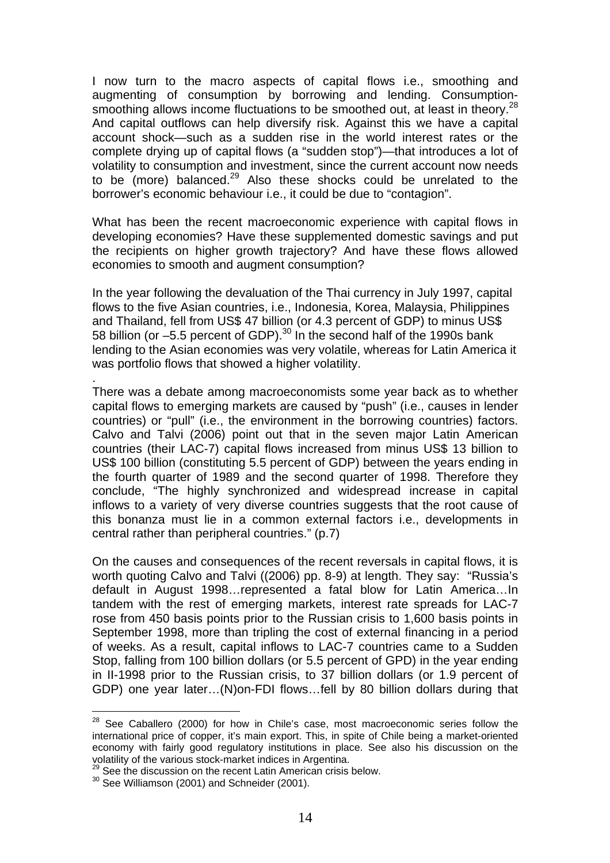I now turn to the macro aspects of capital flows i.e., smoothing and augmenting of consumption by borrowing and lending. Consumption-smoothing allows income fluctuations to be smoothed out, at least in theory.<sup>[28](#page-14-0)</sup> And capital outflows can help diversify risk. Against this we have a capital account shock—such as a sudden rise in the world interest rates or the complete drying up of capital flows (a "sudden stop")—that introduces a lot of volatility to consumption and investment, since the current account now needs to be (more) balanced.<sup>29</sup> Also these shocks could be unrelated to the borrower's economic behaviour i.e., it could be due to "contagion".

What has been the recent macroeconomic experience with capital flows in developing economies? Have these supplemented domestic savings and put the recipients on higher growth trajectory? And have these flows allowed economies to smooth and augment consumption?

In the year following the devaluation of the Thai currency in July 1997, capital flows to the five Asian countries, i.e., Indonesia, Korea, Malaysia, Philippines and Thailand, fell from US\$ 47 billion (or 4.3 percent of GDP) to minus US\$ 58 billion (or –5.5 percent of GDP).<sup>30</sup> In the second half of the 1990s bank lending to the Asian economies was very volatile, whereas for Latin America it was portfolio flows that showed a higher volatility.

There was a debate among macroeconomists some year back as to whether capital flows to emerging markets are caused by "push" (i.e., causes in lender countries) or "pull" (i.e., the environment in the borrowing countries) factors. Calvo and Talvi (2006) point out that in the seven major Latin American countries (their LAC-7) capital flows increased from minus US\$ 13 billion to US\$ 100 billion (constituting 5.5 percent of GDP) between the years ending in the fourth quarter of 1989 and the second quarter of 1998. Therefore they conclude, "The highly synchronized and widespread increase in capital inflows to a variety of very diverse countries suggests that the root cause of this bonanza must lie in a common external factors i.e., developments in central rather than peripheral countries." (p.7)

On the causes and consequences of the recent reversals in capital flows, it is worth quoting Calvo and Talvi ((2006) pp. 8-9) at length. They say: "Russia's default in August 1998…represented a fatal blow for Latin America…In tandem with the rest of emerging markets, interest rate spreads for LAC-7 rose from 450 basis points prior to the Russian crisis to 1,600 basis points in September 1998, more than tripling the cost of external financing in a period of weeks. As a result, capital inflows to LAC-7 countries came to a Sudden Stop, falling from 100 billion dollars (or 5.5 percent of GPD) in the year ending in II-1998 prior to the Russian crisis, to 37 billion dollars (or 1.9 percent of GDP) one year later…(N)on-FDI flows…fell by 80 billion dollars during that

.

<span id="page-14-0"></span><sup>&</sup>lt;sup>28</sup> See Caballero (2000) for how in Chile's case, most macroeconomic series follow the international price of copper, it's main export. This, in spite of Chile being a market-oriented economy with fairly good regulatory institutions in place. See also his discussion on the

<span id="page-14-1"></span> $\frac{29}{39}$  See the discussion on the recent Latin American crisis below.  $\frac{30}{30}$  See Williamson (2001) and Schneider (2001).

<span id="page-14-2"></span>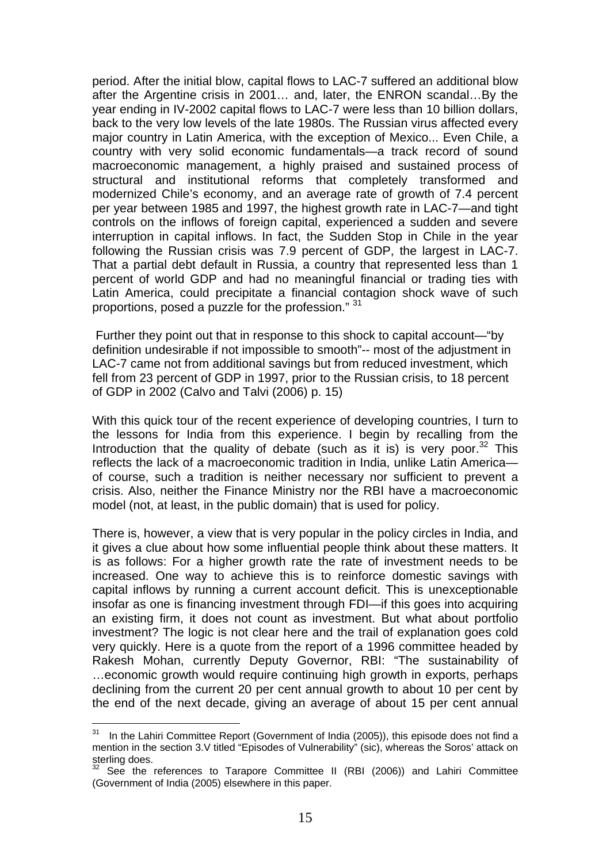period. After the initial blow, capital flows to LAC-7 suffered an additional blow after the Argentine crisis in 2001… and, later, the ENRON scandal…By the year ending in IV-2002 capital flows to LAC-7 were less than 10 billion dollars, back to the very low levels of the late 1980s. The Russian virus affected every major country in Latin America, with the exception of Mexico... Even Chile, a country with very solid economic fundamentals—a track record of sound macroeconomic management, a highly praised and sustained process of structural and institutional reforms that completely transformed and modernized Chile's economy, and an average rate of growth of 7.4 percent per year between 1985 and 1997, the highest growth rate in LAC-7—and tight controls on the inflows of foreign capital, experienced a sudden and severe interruption in capital inflows. In fact, the Sudden Stop in Chile in the year following the Russian crisis was 7.9 percent of GDP, the largest in LAC-7. That a partial debt default in Russia, a country that represented less than 1 percent of world GDP and had no meaningful financial or trading ties with Latin America, could precipitate a financial contagion shock wave of such proportions, posed a puzzle for the profession." [31](#page-15-0)

 Further they point out that in response to this shock to capital account—"by definition undesirable if not impossible to smooth"-- most of the adjustment in LAC-7 came not from additional savings but from reduced investment, which fell from 23 percent of GDP in 1997, prior to the Russian crisis, to 18 percent of GDP in 2002 (Calvo and Talvi (2006) p. 15)

With this quick tour of the recent experience of developing countries, I turn to the lessons for India from this experience. I begin by recalling from the Introduction that the quality of debate (such as it is) is very poor.<sup>32</sup> This reflects the lack of a macroeconomic tradition in India, unlike Latin America of course, such a tradition is neither necessary nor sufficient to prevent a crisis. Also, neither the Finance Ministry nor the RBI have a macroeconomic model (not, at least, in the public domain) that is used for policy.

There is, however, a view that is very popular in the policy circles in India, and it gives a clue about how some influential people think about these matters. It is as follows: For a higher growth rate the rate of investment needs to be increased. One way to achieve this is to reinforce domestic savings with capital inflows by running a current account deficit. This is unexceptionable insofar as one is financing investment through FDI—if this goes into acquiring an existing firm, it does not count as investment. But what about portfolio investment? The logic is not clear here and the trail of explanation goes cold very quickly. Here is a quote from the report of a 1996 committee headed by Rakesh Mohan, currently Deputy Governor, RBI: "The sustainability of …economic growth would require continuing high growth in exports, perhaps declining from the current 20 per cent annual growth to about 10 per cent by the end of the next decade, giving an average of about 15 per cent annual

<span id="page-15-0"></span>In the Lahiri Committee Report (Government of India (2005)), this episode does not find a mention in the section 3.V titled "Episodes of Vulnerability" (sic), whereas the Soros' attack on sterling does.

<span id="page-15-1"></span><sup>&</sup>lt;sup>32</sup> See the references to Tarapore Committee II (RBI (2006)) and Lahiri Committee (Government of India (2005) elsewhere in this paper.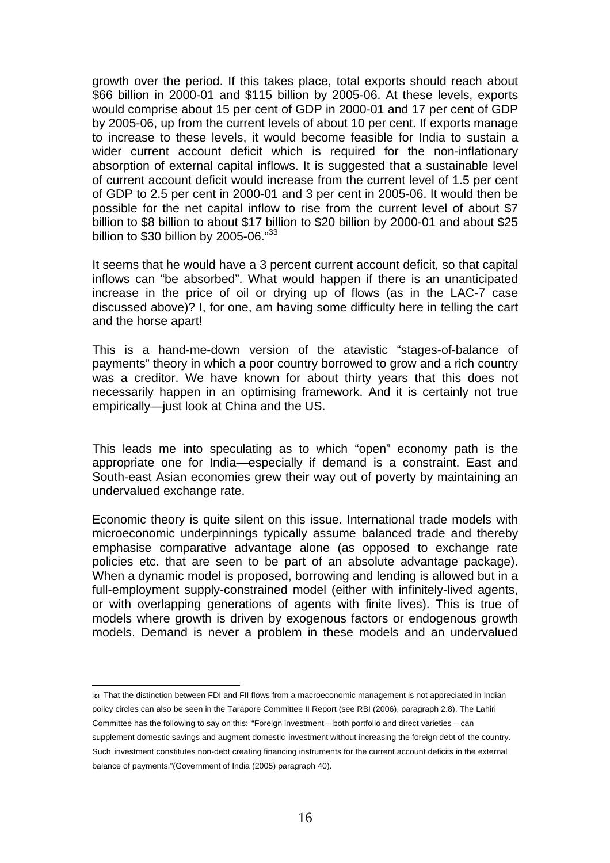growth over the period. If this takes place, total exports should reach about \$66 billion in 2000-01 and \$115 billion by 2005-06. At these levels, exports would comprise about 15 per cent of GDP in 2000-01 and 17 per cent of GDP by 2005-06, up from the current levels of about 10 per cent. If exports manage to increase to these levels, it would become feasible for India to sustain a wider current account deficit which is required for the non-inflationary absorption of external capital inflows. It is suggested that a sustainable level of current account deficit would increase from the current level of 1.5 per cent of GDP to 2.5 per cent in 2000-01 and 3 per cent in 2005-06. It would then be possible for the net capital inflow to rise from the current level of about \$7 billion to \$8 billion to about \$17 billion to \$20 billion by 2000-01 and about \$25 billion to  $$30$  billion by 2005-06. $"^{33}$  $"^{33}$  $"^{33}$ 

It seems that he would have a 3 percent current account deficit, so that capital inflows can "be absorbed". What would happen if there is an unanticipated increase in the price of oil or drying up of flows (as in the LAC-7 case discussed above)? I, for one, am having some difficulty here in telling the cart and the horse apart!

This is a hand-me-down version of the atavistic "stages-of-balance of payments" theory in which a poor country borrowed to grow and a rich country was a creditor. We have known for about thirty years that this does not necessarily happen in an optimising framework. And it is certainly not true empirically—just look at China and the US.

This leads me into speculating as to which "open" economy path is the appropriate one for India—especially if demand is a constraint. East and South-east Asian economies grew their way out of poverty by maintaining an undervalued exchange rate.

Economic theory is quite silent on this issue. International trade models with microeconomic underpinnings typically assume balanced trade and thereby emphasise comparative advantage alone (as opposed to exchange rate policies etc. that are seen to be part of an absolute advantage package). When a dynamic model is proposed, borrowing and lending is allowed but in a full-employment supply-constrained model (either with infinitely-lived agents, or with overlapping generations of agents with finite lives). This is true of models where growth is driven by exogenous factors or endogenous growth models. Demand is never a problem in these models and an undervalued

<span id="page-16-0"></span> 33 That the distinction between FDI and FII flows from a macroeconomic management is not appreciated in Indian policy circles can also be seen in the Tarapore Committee II Report (see RBI (2006), paragraph 2.8). The Lahiri Committee has the following to say on this: "Foreign investment – both portfolio and direct varieties – can supplement domestic savings and augment domestic investment without increasing the foreign debt of the country. Such investment constitutes non-debt creating financing instruments for the current account deficits in the external balance of payments."(Government of India (2005) paragraph 40).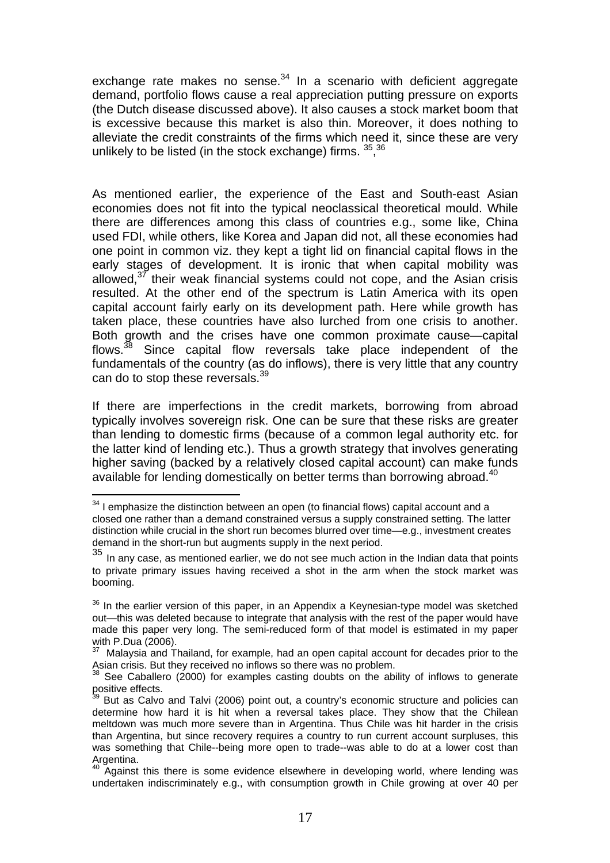exchange rate makes no sense. $34$  In a scenario with deficient aggregate demand, portfolio flows cause a real appreciation putting pressure on exports (the Dutch disease discussed above). It also causes a stock market boom that is excessive because this market is also thin. Moreover, it does nothing to alleviate the credit constraints of the firms which need it, since these are very unlikely to be listed (in the stock exchange) firms.  $35,36$  $35,36$ 

As mentioned earlier, the experience of the East and South-east Asian economies does not fit into the typical neoclassical theoretical mould. While there are differences among this class of countries e.g., some like, China used FDI, while others, like Korea and Japan did not, all these economies had one point in common viz. they kept a tight lid on financial capital flows in the early stages of development. It is ironic that when capital mobility was allowed, $37$  their weak financial systems could not cope, and the Asian crisis resulted. At the other end of the spectrum is Latin America with its open capital account fairly early on its development path. Here while growth has taken place, these countries have also lurched from one crisis to another. Both growth and the crises have one common proximate cause—capital flows.<sup>38</sup> Since capital flow reversals take place independent of the fundamentals of the country (as do inflows), there is very little that any country can do to stop these reversals.<sup>[39](#page-17-5)</sup>

If there are imperfections in the credit markets, borrowing from abroad typically involves sovereign risk. One can be sure that these risks are greater than lending to domestic firms (because of a common legal authority etc. for the latter kind of lending etc.). Thus a growth strategy that involves generating higher saving (backed by a relatively closed capital account) can make funds available for lending domestically on better terms than borrowing abroad.<sup>[40](#page-17-6)</sup>

<span id="page-17-0"></span> $34$  I emphasize the distinction between an open (to financial flows) capital account and a closed one rather than a demand constrained versus a supply constrained setting. The latter distinction while crucial in the short run becomes blurred over time—e.g., investment creates demand in the short-run but augments supply in the next period.

<span id="page-17-1"></span> $35$  In any case, as mentioned earlier, we do not see much action in the Indian data that points to private primary issues having received a shot in the arm when the stock market was booming.

<span id="page-17-2"></span> $36$  In the earlier version of this paper, in an Appendix a Keynesian-type model was sketched out—this was deleted because to integrate that analysis with the rest of the paper would have made this paper very long. The semi-reduced form of that model is estimated in my paper with P.Dua (2006).

<span id="page-17-3"></span>Malaysia and Thailand, for example, had an open capital account for decades prior to the Asian crisis. But they received no inflows so there was no problem.<br><sup>38</sup> See Caballero (2000) for examples casting doubts on the ability of inflows to generate

<span id="page-17-4"></span>positive effects.

<span id="page-17-5"></span><sup>&</sup>lt;sup>39</sup> But as Calvo and Talvi (2006) point out, a country's economic structure and policies can determine how hard it is hit when a reversal takes place. They show that the Chilean meltdown was much more severe than in Argentina. Thus Chile was hit harder in the crisis than Argentina, but since recovery requires a country to run current account surpluses, this was something that Chile--being more open to trade--was able to do at a lower cost than Argentina.

<span id="page-17-6"></span><sup>40</sup> Against this there is some evidence elsewhere in developing world, where lending was undertaken indiscriminately e.g., with consumption growth in Chile growing at over 40 per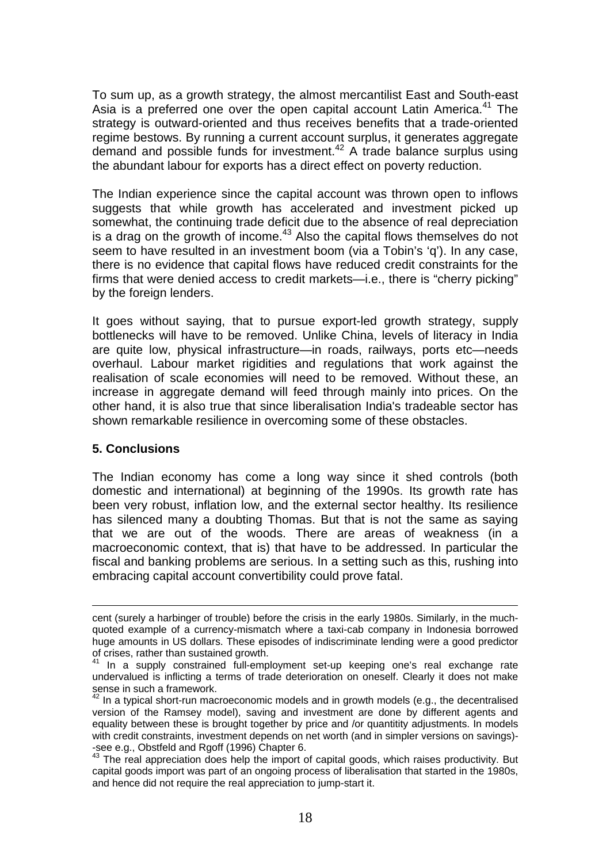To sum up, as a growth strategy, the almost mercantilist East and South-east Asia is a preferred one over the open capital account Latin America.<sup>41</sup> The strategy is outward-oriented and thus receives benefits that a trade-oriented regime bestows. By running a current account surplus, it generates aggregate demand and possible funds for investment.[42](#page-18-1) A trade balance surplus using the abundant labour for exports has a direct effect on poverty reduction.

The Indian experience since the capital account was thrown open to inflows suggests that while growth has accelerated and investment picked up somewhat, the continuing trade deficit due to the absence of real depreciation is a drag on the growth of income. $43$  Also the capital flows themselves do not seem to have resulted in an investment boom (via a Tobin's 'q'). In any case, there is no evidence that capital flows have reduced credit constraints for the firms that were denied access to credit markets—i.e., there is "cherry picking" by the foreign lenders.

It goes without saying, that to pursue export-led growth strategy, supply bottlenecks will have to be removed. Unlike China, levels of literacy in India are quite low, physical infrastructure—in roads, railways, ports etc—needs overhaul. Labour market rigidities and regulations that work against the realisation of scale economies will need to be removed. Without these, an increase in aggregate demand will feed through mainly into prices. On the other hand, it is also true that since liberalisation India's tradeable sector has shown remarkable resilience in overcoming some of these obstacles.

#### **5. Conclusions**

 $\overline{a}$ 

The Indian economy has come a long way since it shed controls (both domestic and international) at beginning of the 1990s. Its growth rate has been very robust, inflation low, and the external sector healthy. Its resilience has silenced many a doubting Thomas. But that is not the same as saying that we are out of the woods. There are areas of weakness (in a macroeconomic context, that is) that have to be addressed. In particular the fiscal and banking problems are serious. In a setting such as this, rushing into embracing capital account convertibility could prove fatal.

cent (surely a harbinger of trouble) before the crisis in the early 1980s. Similarly, in the muchquoted example of a currency-mismatch where a taxi-cab company in Indonesia borrowed huge amounts in US dollars. These episodes of indiscriminate lending were a good predictor of crises, rather than sustained growth. 41 In a supply constrained full-employment set-up keeping one's real exchange rate

<span id="page-18-0"></span>undervalued is inflicting a terms of trade deterioration on oneself. Clearly it does not make sense in such a framework.

<span id="page-18-1"></span> $42$  In a typical short-run macroeconomic models and in growth models (e.g., the decentralised version of the Ramsey model), saving and investment are done by different agents and equality between these is brought together by price and /or quantitity adjustments. In models with credit constraints, investment depends on net worth (and in simpler versions on savings)- -see e.g., Obstfeld and Rgoff (1996) Chapter 6.<br><sup>43</sup> The real appreciation does help the import of capital goods, which raises productivity. But

<span id="page-18-2"></span>capital goods import was part of an ongoing process of liberalisation that started in the 1980s, and hence did not require the real appreciation to jump-start it.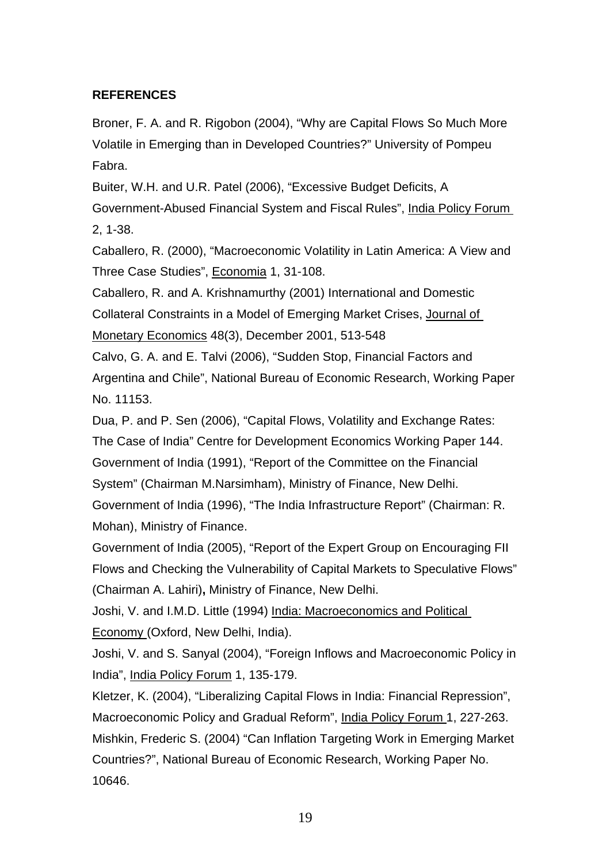### **REFERENCES**

Broner, F. A. and R. Rigobon (2004), "Why are Capital Flows So Much More Volatile in Emerging than in Developed Countries?" University of Pompeu Fabra.

Buiter, W.H. and U.R. Patel (2006), "Excessive Budget Deficits, A Government-Abused Financial System and Fiscal Rules", India Policy Forum 2, 1-38.

Caballero, R. (2000), "Macroeconomic Volatility in Latin America: A View and Three Case Studies", Economia 1, 31-108.

Caballero, R. and A. Krishnamurthy (2001) International and Domestic Collateral Constraints in a Model of Emerging Market Crises, Journal of Monetary Economics 48(3), December 2001, 513-548

Calvo, G. A. and E. Talvi (2006), "Sudden Stop, Financial Factors and Argentina and Chile", National Bureau of Economic Research, Working Paper No. 11153.

Dua, P. and P. Sen (2006), "Capital Flows, Volatility and Exchange Rates: The Case of India" Centre for Development Economics Working Paper 144. Government of India (1991), "Report of the Committee on the Financial System" (Chairman M.Narsimham), Ministry of Finance, New Delhi.

Government of India (1996), "The India Infrastructure Report" (Chairman: R. Mohan), Ministry of Finance.

Government of India (2005), "Report of the Expert Group on Encouraging FII Flows and Checking the Vulnerability of Capital Markets to Speculative Flows" (Chairman A. Lahiri)**,** Ministry of Finance, New Delhi.

Joshi, V. and I.M.D. Little (1994) India: Macroeconomics and Political Economy (Oxford, New Delhi, India).

Joshi, V. and S. Sanyal (2004), "Foreign Inflows and Macroeconomic Policy in India", India Policy Forum 1, 135-179.

Kletzer, K. (2004), "Liberalizing Capital Flows in India: Financial Repression", Macroeconomic Policy and Gradual Reform", India Policy Forum 1, 227-263. Mishkin, Frederic S. (2004) "Can Inflation Targeting Work in Emerging Market Countries?", National Bureau of Economic Research, Working Paper No. 10646.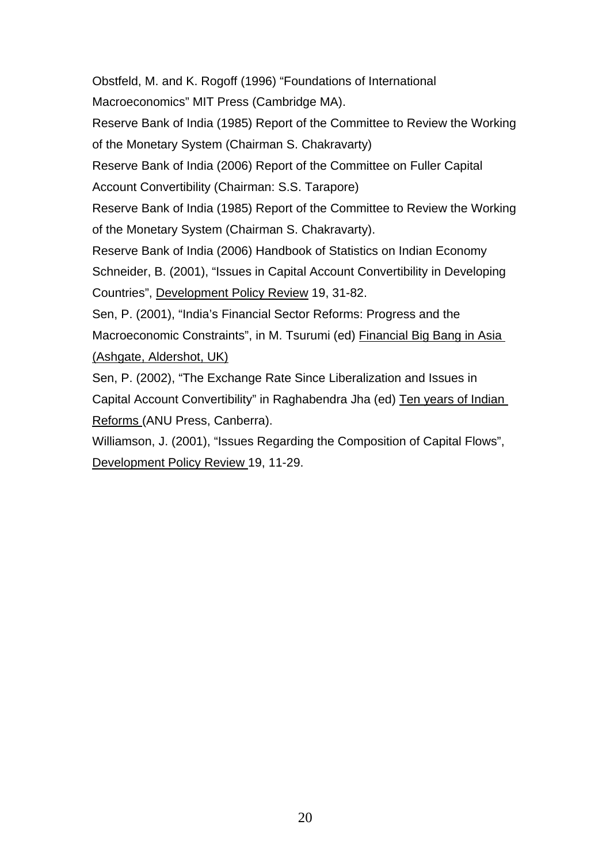Obstfeld, M. and K. Rogoff (1996) "Foundations of International Macroeconomics" MIT Press (Cambridge MA).

Reserve Bank of India (1985) Report of the Committee to Review the Working of the Monetary System (Chairman S. Chakravarty)

Reserve Bank of India (2006) Report of the Committee on Fuller Capital

Account Convertibility (Chairman: S.S. Tarapore)

Reserve Bank of India (1985) Report of the Committee to Review the Working of the Monetary System (Chairman S. Chakravarty).

Reserve Bank of India (2006) Handbook of Statistics on Indian Economy Schneider, B. (2001), "Issues in Capital Account Convertibility in Developing Countries", Development Policy Review 19, 31-82.

Sen, P. (2001), "India's Financial Sector Reforms: Progress and the Macroeconomic Constraints", in M. Tsurumi (ed) Financial Big Bang in Asia (Ashgate, Aldershot, UK)

Sen, P. (2002), "The Exchange Rate Since Liberalization and Issues in Capital Account Convertibility" in Raghabendra Jha (ed) Ten years of Indian Reforms (ANU Press, Canberra).

Williamson, J. (2001), "Issues Regarding the Composition of Capital Flows", Development Policy Review 19, 11-29.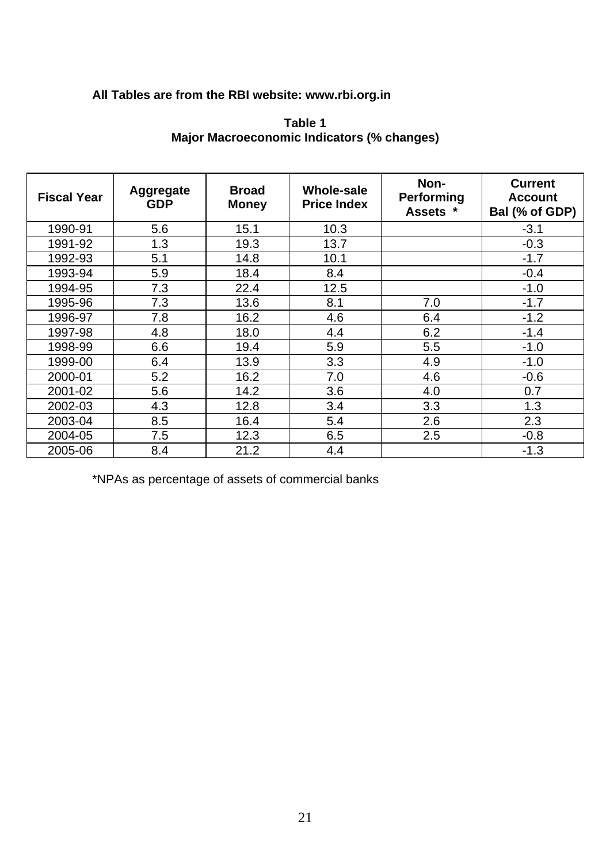## **All Tables are from the RBI website: www.rbi.org.in**

| Aggregate<br><b>GDP</b> | <b>Broad</b><br><b>Money</b> | <b>Whole-sale</b><br><b>Price Index</b> | Non-<br>Performing<br>Assets * |        |
|-------------------------|------------------------------|-----------------------------------------|--------------------------------|--------|
| 5.6                     | 15.1                         | 10.3                                    |                                | $-3.1$ |
| 1.3                     | 19.3                         | 13.7                                    |                                | $-0.3$ |
| 5.1                     | 14.8                         | 10.1                                    |                                | $-1.7$ |
| 5.9                     | 18.4                         | 8.4                                     |                                | $-0.4$ |
| 7.3                     | 22.4                         | 12.5                                    |                                | $-1.0$ |
| 7.3                     | 13.6                         | 8.1                                     | 7.0                            | $-1.7$ |
| 7.8                     | 16.2                         | 4.6                                     | 6.4                            | $-1.2$ |
| 4.8                     | 18.0                         | 4.4                                     | 6.2                            | $-1.4$ |
| 6.6                     | 19.4                         | 5.9                                     | 5.5                            | $-1.0$ |
| 6.4                     | 13.9                         | 3.3                                     | 4.9                            | $-1.0$ |
| 5.2                     | 16.2                         | 7.0                                     | 4.6                            | $-0.6$ |
| 5.6                     | 14.2                         | 3.6                                     | 4.0                            | 0.7    |
| 4.3                     | 12.8                         | 3.4                                     | 3.3                            | 1.3    |
| 8.5                     | 16.4                         | 5.4                                     | 2.6                            | 2.3    |
| 7.5                     | 12.3                         | 6.5                                     | 2.5                            | $-0.8$ |
| 8.4                     | 21.2                         | 4.4                                     |                                | $-1.3$ |
|                         |                              |                                         |                                |        |

### **Table 1 Major Macroeconomic Indicators (% changes)**

\*NPAs as percentage of assets of commercial banks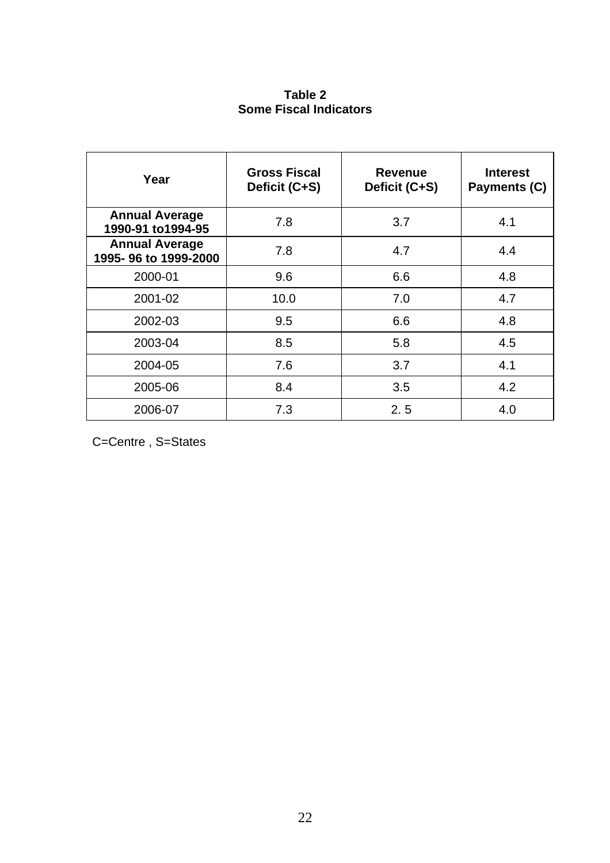## **Table 2 Some Fiscal Indicators**

| Year                                          | <b>Gross Fiscal</b><br>Deficit (C+S) | <b>Revenue</b><br>Deficit (C+S) |     |  |  |
|-----------------------------------------------|--------------------------------------|---------------------------------|-----|--|--|
| <b>Annual Average</b><br>1990-91 to1994-95    | 7.8                                  | 3.7                             | 4.1 |  |  |
| <b>Annual Average</b><br>1995-96 to 1999-2000 | 7.8                                  | 4.7                             | 4.4 |  |  |
| 2000-01                                       | 9.6                                  | 6.6                             | 4.8 |  |  |
| 2001-02                                       | 10.0                                 | 7.0                             | 4.7 |  |  |
| 2002-03                                       | 9.5                                  | 6.6                             | 4.8 |  |  |
| 2003-04                                       | 8.5                                  | 5.8                             | 4.5 |  |  |
| 2004-05                                       | 7.6                                  | 3.7                             | 4.1 |  |  |
| 2005-06                                       | 8.4                                  | 3.5                             | 4.2 |  |  |
| 2006-07                                       | 7.3                                  | 2.5                             | 4.0 |  |  |

C=Centre , S=States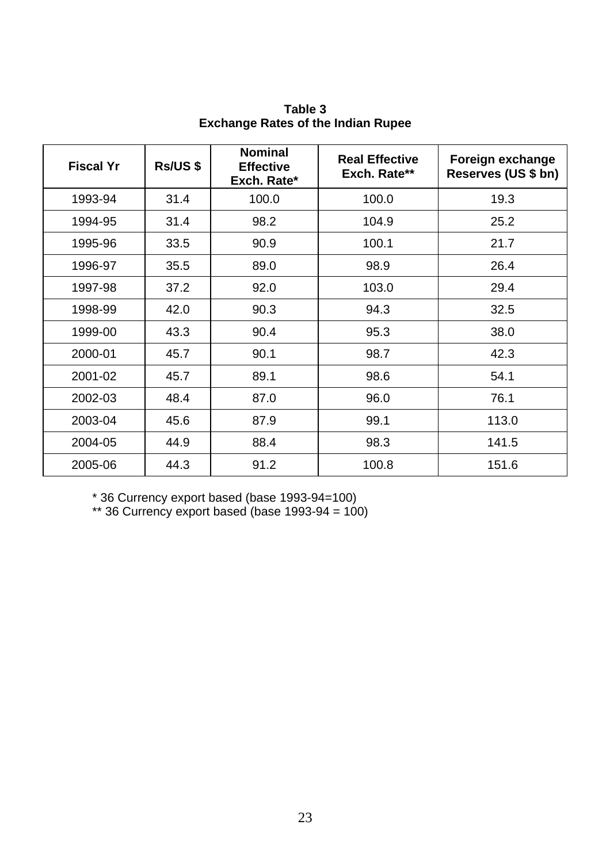| <b>Fiscal Yr</b> | <b>Rs/US \$</b> | <b>Nominal</b><br><b>Effective</b><br>Exch. Rate* | <b>Real Effective</b><br>Exch. Rate** | Foreign exchange<br>Reserves (US \$ bn) |  |  |
|------------------|-----------------|---------------------------------------------------|---------------------------------------|-----------------------------------------|--|--|
| 1993-94          | 31.4            | 100.0                                             | 100.0                                 | 19.3                                    |  |  |
| 1994-95          | 31.4            | 98.2                                              | 104.9                                 | 25.2                                    |  |  |
| 1995-96          | 33.5            | 90.9                                              | 100.1                                 | 21.7                                    |  |  |
| 1996-97          | 35.5            | 89.0                                              | 98.9                                  | 26.4                                    |  |  |
| 1997-98          | 37.2            | 92.0                                              | 103.0                                 | 29.4                                    |  |  |
| 1998-99          | 42.0            | 90.3                                              | 94.3                                  | 32.5                                    |  |  |
| 1999-00          | 43.3            | 90.4                                              | 95.3                                  | 38.0                                    |  |  |
| 2000-01          | 45.7            | 90.1                                              | 98.7                                  | 42.3                                    |  |  |
| 2001-02          | 45.7            | 89.1                                              | 98.6                                  | 54.1                                    |  |  |
| 2002-03          | 48.4            | 87.0                                              | 96.0                                  | 76.1                                    |  |  |
| 2003-04          | 45.6            | 87.9                                              | 99.1                                  | 113.0                                   |  |  |
| 2004-05          | 44.9            | 88.4                                              | 98.3                                  | 141.5                                   |  |  |
| 2005-06          | 44.3            | 91.2                                              | 100.8                                 | 151.6                                   |  |  |

**Table 3 Exchange Rates of the Indian Rupee** 

\* 36 Currency export based (base 1993-94=100)

 $**$  36 Currency export based (base 1993-94 = 100)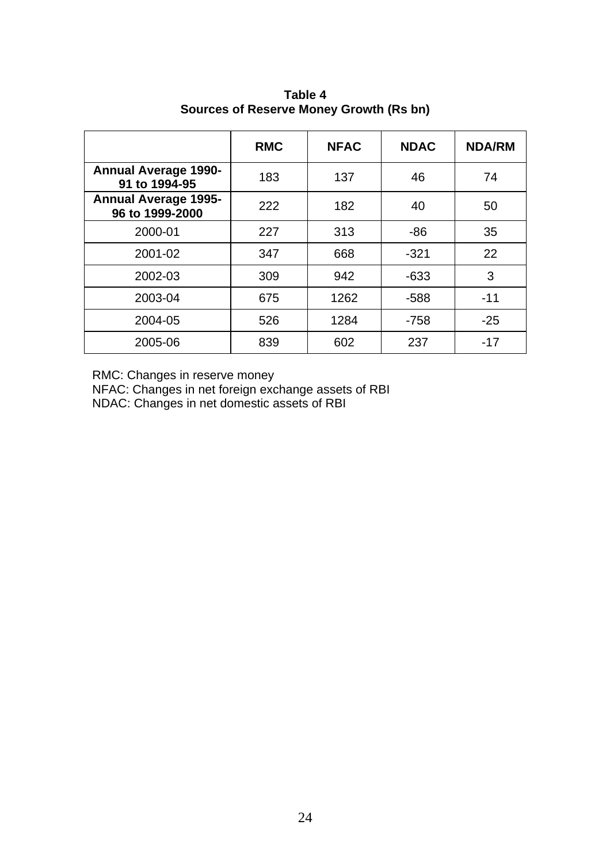|                                                | <b>RMC</b> | <b>NFAC</b> | <b>NDAC</b> | <b>NDA/RM</b> |  |  |
|------------------------------------------------|------------|-------------|-------------|---------------|--|--|
| <b>Annual Average 1990-</b><br>91 to 1994-95   | 183        | 137         | 46          | 74            |  |  |
| <b>Annual Average 1995-</b><br>96 to 1999-2000 | 222        | 182         | 40          | 50            |  |  |
| 2000-01                                        | 227        | 313         | $-86$       | 35            |  |  |
| 2001-02                                        | 347        | 668         | $-321$      | 22            |  |  |
| 2002-03                                        | 309        | 942         | $-633$      | 3             |  |  |
| 2003-04                                        | 675        | 1262        | $-588$      | $-11$         |  |  |
| 2004-05                                        | 526        | 1284        | $-758$      | $-25$         |  |  |
| 2005-06                                        | 839        | 602         | 237         | $-17$         |  |  |

**Table 4 Sources of Reserve Money Growth (Rs bn)**

RMC: Changes in reserve money

NFAC: Changes in net foreign exchange assets of RBI

NDAC: Changes in net domestic assets of RBI